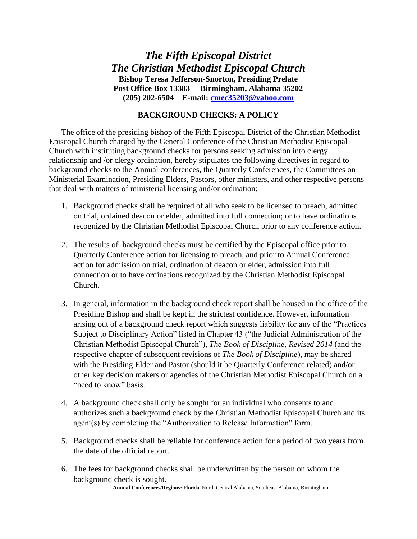## *The Fifth Episcopal District The Christian Methodist Episcopal Church* **Bishop Teresa Jefferson-Snorton, Presiding Prelate Post Office Box 13383 Birmingham, Alabama 35202 (205) 202-6504 E-mail: [cmec35203@yahoo.com](mailto:cmec35203@yahoo.com)**

## **BACKGROUND CHECKS: A POLICY**

The office of the presiding bishop of the Fifth Episcopal District of the Christian Methodist Episcopal Church charged by the General Conference of the Christian Methodist Episcopal Church with instituting background checks for persons seeking admission into clergy relationship and /or clergy ordination, hereby stipulates the following directives in regard to background checks to the Annual conferences, the Quarterly Conferences, the Committees on Ministerial Examination, Presiding Elders, Pastors, other ministers, and other respective persons that deal with matters of ministerial licensing and/or ordination:

- 1. Background checks shall be required of all who seek to be licensed to preach, admitted on trial, ordained deacon or elder, admitted into full connection; or to have ordinations recognized by the Christian Methodist Episcopal Church prior to any conference action.
- 2. The results of background checks must be certified by the Episcopal office prior to Quarterly Conference action for licensing to preach, and prior to Annual Conference action for admission on trial, ordination of deacon or elder, admission into full connection or to have ordinations recognized by the Christian Methodist Episcopal Church.
- 3. In general, information in the background check report shall be housed in the office of the Presiding Bishop and shall be kept in the strictest confidence. However, information arising out of a background check report which suggests liability for any of the "Practices Subject to Disciplinary Action" listed in Chapter 43 ("the Judicial Administration of the Christian Methodist Episcopal Church"), *The Book of Discipline*, *Revised 2014* (and the respective chapter of subsequent revisions of *The Book of Discipline*), may be shared with the Presiding Elder and Pastor (should it be Quarterly Conference related) and/or other key decision makers or agencies of the Christian Methodist Episcopal Church on a "need to know" basis.
- 4. A background check shall only be sought for an individual who consents to and authorizes such a background check by the Christian Methodist Episcopal Church and its agent(s) by completing the "Authorization to Release Information" form.
- 5. Background checks shall be reliable for conference action for a period of two years from the date of the official report.
- 6. The fees for background checks shall be underwritten by the person on whom the background check is sought.

**Annual Conferences/Regions:** Florida, North Central Alabama, Southeast Alabama, Birmingham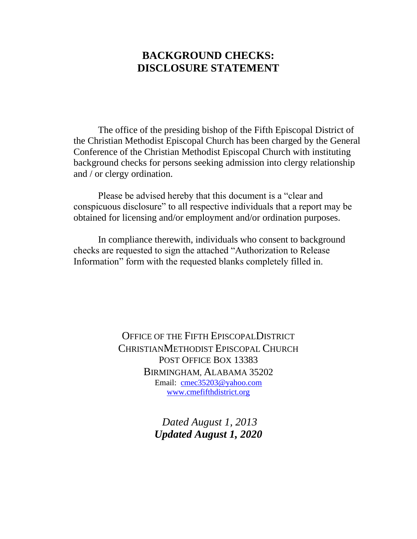## **BACKGROUND CHECKS: DISCLOSURE STATEMENT**

The office of the presiding bishop of the Fifth Episcopal District of the Christian Methodist Episcopal Church has been charged by the General Conference of the Christian Methodist Episcopal Church with instituting background checks for persons seeking admission into clergy relationship and / or clergy ordination.

Please be advised hereby that this document is a "clear and conspicuous disclosure" to all respective individuals that a report may be obtained for licensing and/or employment and/or ordination purposes.

In compliance therewith, individuals who consent to background checks are requested to sign the attached "Authorization to Release Information" form with the requested blanks completely filled in.

> OFFICE OF THE FIFTH EPISCOPALDISTRICT CHRISTIANMETHODIST EPISCOPAL CHURCH POST OFFICE BOX 13383 BIRMINGHAM, ALABAMA 35202 Email: [cmec35203@yahoo.com](mailto:cmec35203@yahoo.com) [www.cmefifthdistrict.org](http://www.cmefifthdistrict.org/)

> > *Dated August 1, 2013 Updated August 1, 2020*